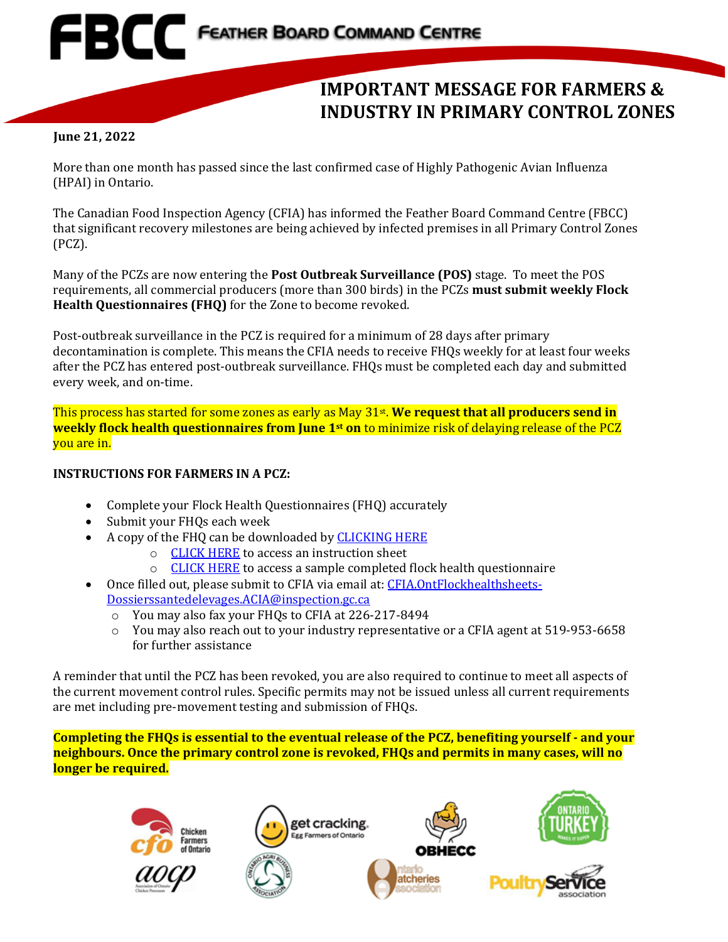## **EBCC** FEATHER BOARD COMMAND CENTRE

## **IMPORTANT MESSAGE FOR FARMERS & INDUSTRY IN PRIMARY CONTROL ZONES**

## **June 21, 2022**

More than one month has passed since the last confirmed case of Highly Pathogenic Avian Influenza (HPAI) in Ontario.

The Canadian Food Inspection Agency (CFIA) has informed the Feather Board Command Centre (FBCC) that significant recovery milestones are being achieved by infected premises in all Primary Control Zones (PCZ).

Many of the PCZs are now entering the **Post Outbreak Surveillance (POS)** stage. To meet the POS requirements, all commercial producers (more than 300 birds) in the PCZs **must submit weekly Flock Health Questionnaires (FHQ)** for the Zone to become revoked.

Post-outbreak surveillance in the PCZ is required for a minimum of 28 days after primary decontamination is complete. This means the CFIA needs to receive FHQs weekly for at least four weeks after the PCZ has entered post-outbreak surveillance. FHQs must be completed each day and submitted every week, and on-time.

This process has started for some zones as early as May 31st. **We request that all producers send in weekly flock health questionnaires from June 1st on** to minimize risk of delaying release of the PCZ you are in.

## **INSTRUCTIONS FOR FARMERS IN A PCZ:**

- Complete your Flock Health Questionnaires (FHQ) accurately
- Submit your FHQs each week
- A copy of the FHQ can be downloaded b[y CLICKING HERE](https://www.fbcc.ca/file.aspx?id=671c000b-42d0-447e-9e70-11f75ad73ad8)
	- o [CLICK HERE](https://www.fbcc.ca/file.aspx?id=4837d778-1c4b-4dd5-8ff7-45c9f3689fdd) to access an instruction sheet
	- o [CLICK HERE](https://www.fbcc.ca/file.aspx?id=5e2f3d21-25ec-4bdc-95d0-12202d532180) to access a sample completed flock health questionnaire
- Once filled out, please submit to CFIA via email at: [CFIA.OntFlockhealthsheets-](mailto:CFIA.OntFlockhealthsheets-Dossierssantedelevages.ACIA@inspection.gc.ca)[Dossierssantedelevages.ACIA@inspection.gc.ca](mailto:CFIA.OntFlockhealthsheets-Dossierssantedelevages.ACIA@inspection.gc.ca)
	- o You may also fax your FHQs to CFIA at 226-217-8494
	- o You may also reach out to your industry representative or a CFIA agent at 519-953-6658 for further assistance

A reminder that until the PCZ has been revoked, you are also required to continue to meet all aspects of the current movement control rules. Specific permits may not be issued unless all current requirements are met including pre-movement testing and submission of FHQs.

**Completing the FHQs is essential to the eventual release of the PCZ, benefiting yourself - and your neighbours. Once the primary control zone is revoked, FHQs and permits in many cases, will no longer be required.**